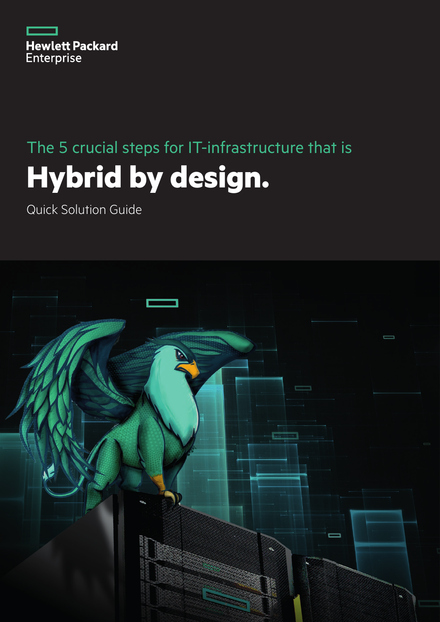

# The 5 crucial steps for IT-infrastructure that is **Hybrid by design.**

Quick Solution Guide

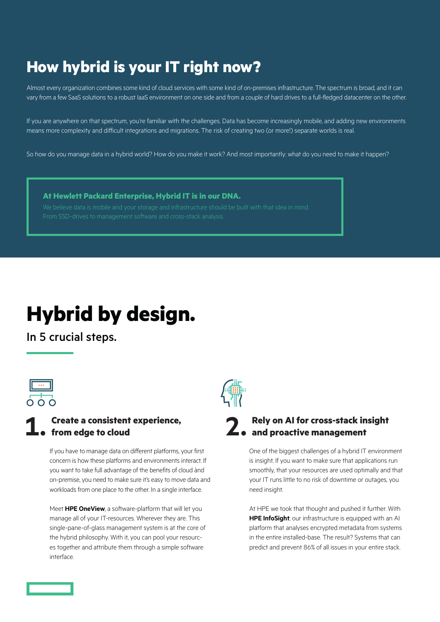### **How hybrid is your IT right now?**

Almost every organization combines some kind of cloud services with some kind of on-premises infrastructure. The spectrum is broad, and it can vary from a few SaaS solutions to a robust IaaS environment on one side and from a couple of hard drives to a full-fledged datacenter on the other.

If you are anywhere on that spectrum, you're familiar with the challenges. Data has become increasingly mobile, and adding new environments means more complexity and difficult integrations and migrations. The risk of creating two (or more!) separate worlds is real.

So how do you manage data in a hybrid world? How do you make it work? And most importantly: what do you need to make it happen?

#### **At Hewlett Packard Enterprise, Hybrid IT is in our DNA.**

## **Hybrid by design.**

In 5 crucial steps.



#### **1. Create a consistent experience, from edge to cloud**

If you have to manage data on different platforms, your first concern is how these platforms and environments interact. If you want to take full advantage of the benefits of cloud ànd on-premise, you need to make sure it's easy to move data and workloads from one place to the other. In a single interface.

Meet **HPE OneView**, a software-platform that will let you manage all of your IT-resources. Wherever they are. This single-pane-of-glass management system is at the core of the hybrid philosophy. With it, you can pool your resources together and attribute them through a simple software interface.



# **2. Rely on AI for cross-stack insight and proactive management**

One of the biggest challenges of a hybrid IT environment is insight. If you want to make sure that applications run smoothly, that your resources are used optimally and that your IT runs little to no risk of downtime or outages, you need insight.

At HPE we took that thought and pushed it further. With **HPE InfoSight**, our infrastructure is equipped with an AI platform that analyses encrypted metadata from systems in the entire installed-base. The result? Systems that can predict and prevent 86% of all issues in your entire stack.